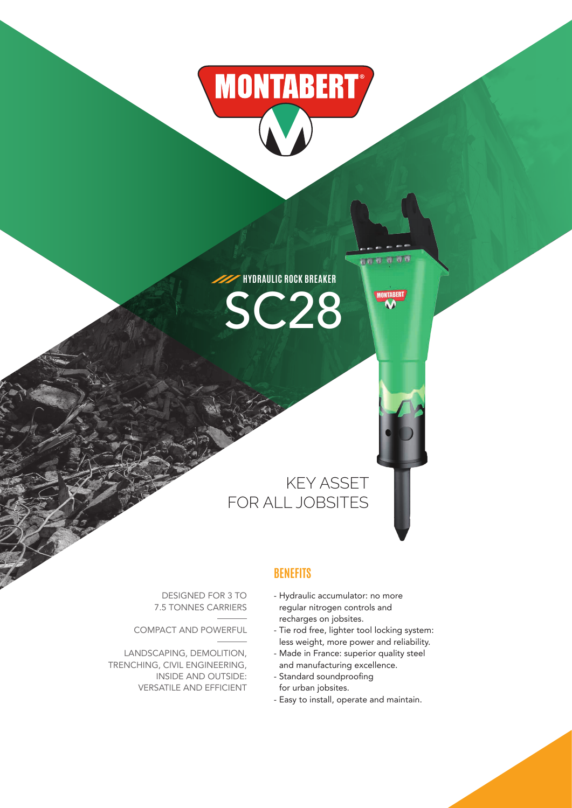# **MONTABERT**

**HYDRAULIC ROCK BREAKER** SC28

## KEY ASSET FOR ALL JOBSITES

DESIGNED FOR 3 TO 7.5 TONNES CARRIERS

COMPACT AND POWERFUL

LANDSCAPING, DEMOLITION, TRENCHING, CIVIL ENGINEERING, INSIDE AND OUTSIDE: VERSATILE AND EFFICIENT

#### **BENEFITS**

- Hydraulic accumulator: no more regular nitrogen controls and recharges on jobsites.
- Tie rod free, lighter tool locking system: less weight, more power and reliability.

ila a ao

RERT

- Made in France: superior quality steel and manufacturing excellence.
- Standard soundproofing for urban jobsites.
- Easy to install, operate and maintain.